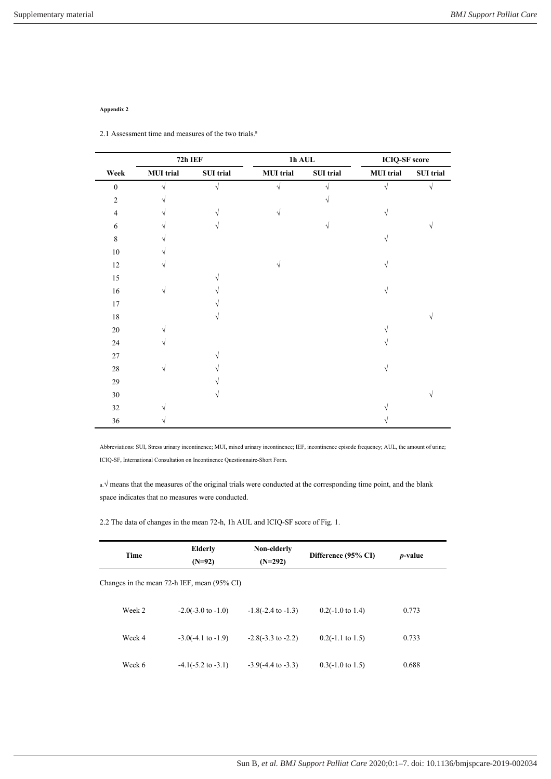## **Appendix 2**

Ĭ.

2.1 Assessment time and measures of the two trials.<sup>a</sup>

|                  | $72h$ IEF        |                  | $1h$ AUL $\,$    |            | <b>ICIQ-SF</b> score |                  |
|------------------|------------------|------------------|------------------|------------|----------------------|------------------|
| Week             | <b>MUI</b> trial | <b>SUI</b> trial | <b>MUI</b> trial | SUI trial  | <b>MUI</b> trial     | <b>SUI</b> trial |
| $\boldsymbol{0}$ | $\sqrt{}$        | $\sqrt{}$        | $\sqrt{}$        | $\sqrt{ }$ | $\sqrt{}$            | $\sqrt{}$        |
| $\sqrt{2}$       | V                |                  |                  | V          |                      |                  |
| $\overline{4}$   | V                | V                | V                |            | $\sqrt{ }$           |                  |
| 6                |                  | V                |                  | $\sqrt{ }$ |                      | V                |
| $\,$ 8 $\,$      |                  |                  |                  |            | V                    |                  |
| $10\,$           |                  |                  |                  |            |                      |                  |
| $12\,$           | V                |                  | $\sqrt{ }$       |            | $\sqrt{}$            |                  |
| 15               |                  |                  |                  |            |                      |                  |
| $16\,$           | $\sqrt{}$        |                  |                  |            | V                    |                  |
| $17\,$           |                  |                  |                  |            |                      |                  |
| $18\,$           |                  |                  |                  |            |                      |                  |
| 20               |                  |                  |                  |            |                      |                  |
| 24               | V                |                  |                  |            |                      |                  |
| 27               |                  |                  |                  |            |                      |                  |
| $28\,$           | $\sqrt{ }$       |                  |                  |            | $\sqrt{ }$           |                  |
| 29               |                  |                  |                  |            |                      |                  |
| $30\,$           |                  |                  |                  |            |                      | V                |
| $32\,$           |                  |                  |                  |            |                      |                  |
| 36               |                  |                  |                  |            |                      |                  |

Abbreviations: SUI, Stress urinary incontinence; MUI, mixed urinary incontinence; IEF, incontinence episode frequency; AUL, the amount of urine; ICIQ-SF, International Consultation on Incontinence Questionnaire-Short Form.

a.√ means that the measures of the original trials were conducted at the corresponding time point, and the blank space indicates that no measures were conducted.

2.2 The data of changes in the mean 72-h, 1h AUL and ICIQ-SF score of Fig. 1.

| Time   | <b>Elderly</b>                              | Non-elderly                   | Difference (95% CI)         |       | <i>p</i> -value |
|--------|---------------------------------------------|-------------------------------|-----------------------------|-------|-----------------|
|        | $(N=92)$                                    | $(N=292)$                     |                             |       |                 |
|        | Changes in the mean 72-h IEF, mean (95% CI) |                               |                             |       |                 |
| Week 2 | $-2.0(-3.0 \text{ to } -1.0)$               | $-1.8(-2.4 \text{ to } -1.3)$ | $0.2(-1.0 \text{ to } 1.4)$ | 0.773 |                 |
| Week 4 | $-3.0(-4.1 \text{ to } -1.9)$               | $-2.8(-3.3 \text{ to } -2.2)$ | $0.2(-1.1 \text{ to } 1.5)$ | 0.733 |                 |
| Week 6 | $-4.1(-5.2 \text{ to } -3.1)$               | $-3.9(-4.4 \text{ to } -3.3)$ | $0.3(-1.0 \text{ to } 1.5)$ | 0.688 |                 |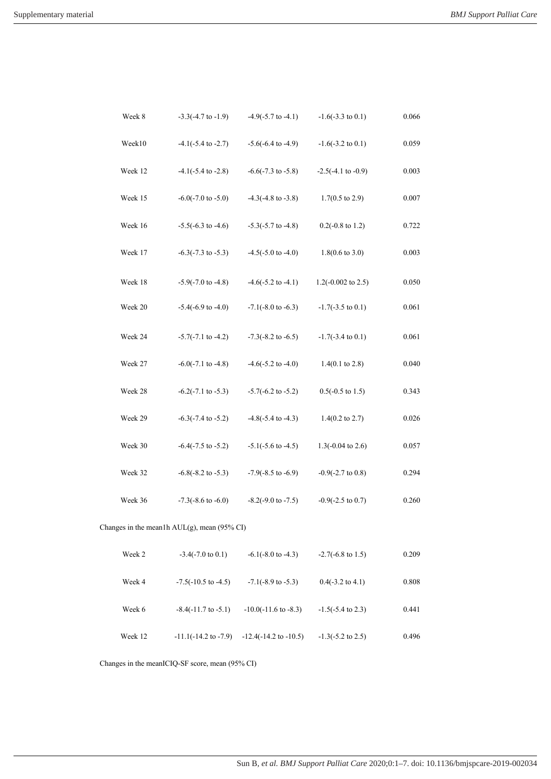| Week 8                                      |  | $-3.3(-4.7 \text{ to } -1.9)$  | $-4.9(-5.7 \text{ to } -4.1)$    | $-1.6(-3.3 \text{ to } 0.1)$  | 0.066     |  |
|---------------------------------------------|--|--------------------------------|----------------------------------|-------------------------------|-----------|--|
| Week10                                      |  | $-4.1(-5.4 \text{ to } -2.7)$  | $-5.6(-6.4 \text{ to } -4.9)$    | $-1.6(-3.2 \text{ to } 0.1)$  | 0.059     |  |
| Week 12                                     |  | $-4.1(-5.4 \text{ to } -2.8)$  | $-6.6(-7.3 \text{ to } -5.8)$    | $-2.5(-4.1 \text{ to } -0.9)$ | 0.003     |  |
| Week 15                                     |  | $-6.0(-7.0 \text{ to } -5.0)$  | $-4.3(-4.8 \text{ to } -3.8)$    | $1.7(0.5 \text{ to } 2.9)$    | 0.007     |  |
| Week 16                                     |  | $-5.5(-6.3 \text{ to } -4.6)$  | $-5.3(-5.7 \text{ to } -4.8)$    | $0.2(-0.8 \text{ to } 1.2)$   | 0.722     |  |
| Week 17                                     |  | $-6.3(-7.3 \text{ to } -5.3)$  | $-4.5(-5.0 \text{ to } -4.0)$    | $1.8(0.6 \text{ to } 3.0)$    | 0.003     |  |
| Week 18                                     |  | $-5.9(-7.0 \text{ to } -4.8)$  | $-4.6(-5.2 \text{ to } -4.1)$    | $1.2(-0.002 \text{ to } 2.5)$ | 0.050     |  |
| Week 20                                     |  | $-5.4(-6.9 \text{ to } -4.0)$  | $-7.1(-8.0 \text{ to } -6.3)$    | $-1.7(-3.5 \text{ to } 0.1)$  | 0.061     |  |
| Week 24                                     |  | $-5.7(-7.1$ to $-4.2)$         | $-7.3(-8.2 \text{ to } -6.5)$    | $-1.7(-3.4 \text{ to } 0.1)$  | $0.061\,$ |  |
| Week 27                                     |  | $-6.0(-7.1 \text{ to } -4.8)$  | $-4.6(-5.2 \text{ to } -4.0)$    | $1.4(0.1 \text{ to } 2.8)$    | 0.040     |  |
| Week 28                                     |  | $-6.2(-7.1 \text{ to } -5.3)$  | $-5.7(-6.2 \text{ to } -5.2)$    | $0.5(-0.5 \text{ to } 1.5)$   | 0.343     |  |
| Week 29                                     |  | $-6.3(-7.4 \text{ to } -5.2)$  | $-4.8(-5.4 \text{ to } -4.3)$    | $1.4(0.2 \text{ to } 2.7)$    | 0.026     |  |
| Week 30                                     |  | $-6.4(-7.5 \text{ to } -5.2)$  | $-5.1(-5.6 \text{ to } -4.5)$    | $1.3(-0.04 \text{ to } 2.6)$  | 0.057     |  |
| Week 32                                     |  | $-6.8(-8.2 \text{ to } -5.3)$  | $-7.9(-8.5 \text{ to } -6.9)$    | $-0.9(-2.7 \text{ to } 0.8)$  | 0.294     |  |
| Week 36                                     |  | $-7.3(-8.6 \text{ to } -6.0)$  | $-8.2(-9.0 \text{ to } -7.5)$    | $-0.9(-2.5 \text{ to } 0.7)$  | 0.260     |  |
| Changes in the mean1h AUL(g), mean (95% CI) |  |                                |                                  |                               |           |  |
| Week 2                                      |  | $-3.4(-7.0 \text{ to } 0.1)$   | $-6.1(-8.0 \text{ to } -4.3)$    | $-2.7(-6.8 \text{ to } 1.5)$  | 0.209     |  |
| Week 4                                      |  | $-7.5(-10.5$ to $-4.5)$        | $-7.1(-8.9 \text{ to } -5.3)$    | $0.4(-3.2 \text{ to } 4.1)$   | 0.808     |  |
| Week 6                                      |  | $-8.4(-11.7 \text{ to } -5.1)$ | $-10.0(-11.6 \text{ to } -8.3)$  | $-1.5(-5.4 \text{ to } 2.3)$  | 0.441     |  |
| Week 12                                     |  | $-11.1(-14.2$ to $-7.9$ )      | $-12.4(-14.2 \text{ to } -10.5)$ | $-1.3(-5.2 \text{ to } 2.5)$  | 0.496     |  |

Changes in the meanICIQ-SF score, mean (95% CI)